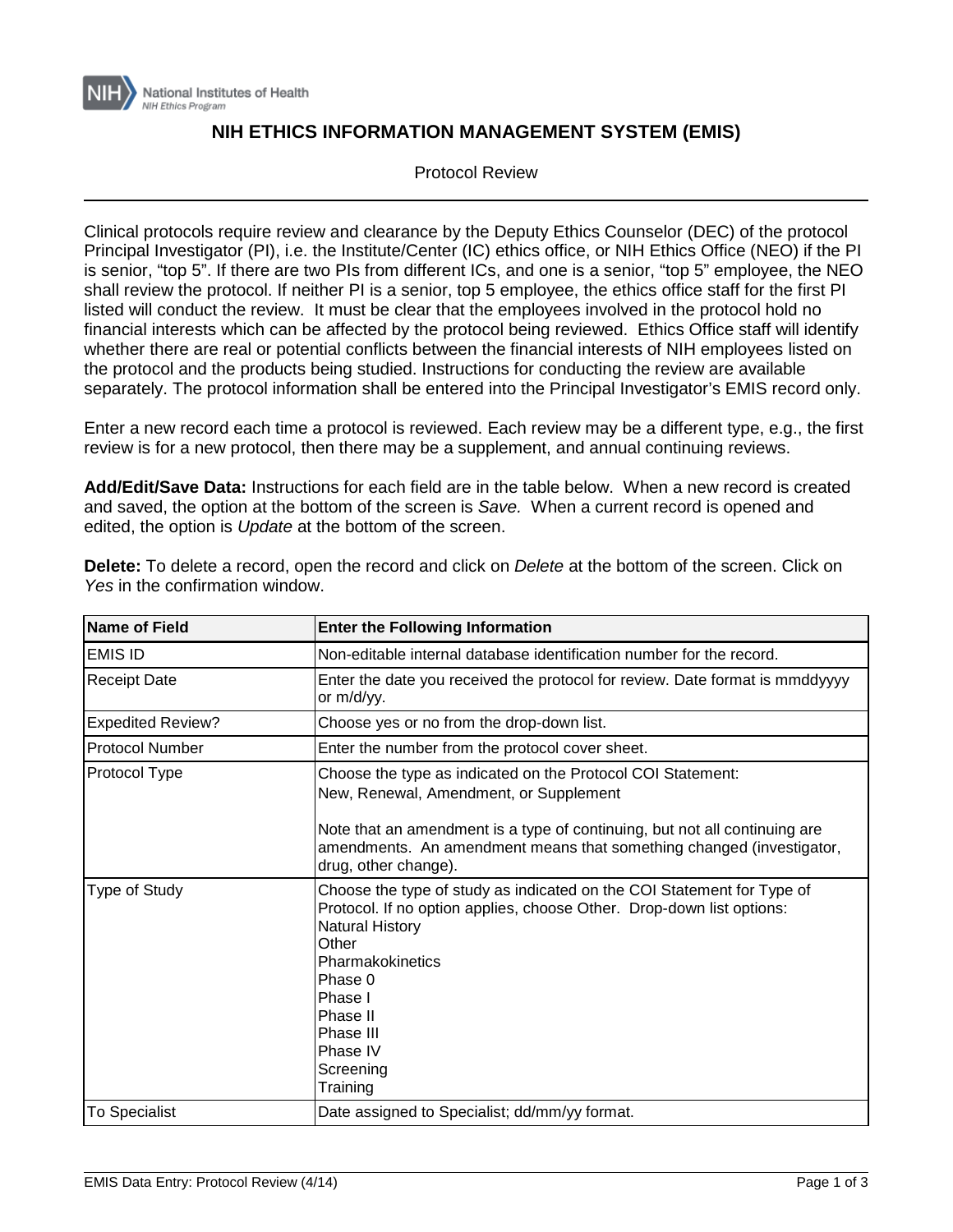

## **NIH ETHICS INFORMATION MANAGEMENT SYSTEM (EMIS)**

Protocol Review

Clinical protocols require review and clearance by the Deputy Ethics Counselor (DEC) of the protocol Principal Investigator (PI), i.e. the Institute/Center (IC) ethics office, or NIH Ethics Office (NEO) if the PI is senior, "top 5". If there are two PIs from different ICs, and one is a senior, "top 5" employee, the NEO shall review the protocol. If neither PI is a senior, top 5 employee, the ethics office staff for the first PI listed will conduct the review. It must be clear that the employees involved in the protocol hold no financial interests which can be affected by the protocol being reviewed. Ethics Office staff will identify whether there are real or potential conflicts between the financial interests of NIH employees listed on the protocol and the products being studied. Instructions for conducting the review are available separately. The protocol information shall be entered into the Principal Investigator's EMIS record only.

Enter a new record each time a protocol is reviewed. Each review may be a different type, e.g., the first review is for a new protocol, then there may be a supplement, and annual continuing reviews.

**Add/Edit/Save Data:** Instructions for each field are in the table below. When a new record is created and saved, the option at the bottom of the screen is *Save.* When a current record is opened and edited, the option is *Update* at the bottom of the screen.

| <b>Name of Field</b>     | <b>Enter the Following Information</b>                                                                                                                                                                                                                                                     |
|--------------------------|--------------------------------------------------------------------------------------------------------------------------------------------------------------------------------------------------------------------------------------------------------------------------------------------|
| <b>IEMIS ID</b>          | Non-editable internal database identification number for the record.                                                                                                                                                                                                                       |
| <b>Receipt Date</b>      | Enter the date you received the protocol for review. Date format is mmddyyyy<br>or m/d/yy.                                                                                                                                                                                                 |
| <b>Expedited Review?</b> | Choose yes or no from the drop-down list.                                                                                                                                                                                                                                                  |
| <b>Protocol Number</b>   | Enter the number from the protocol cover sheet.                                                                                                                                                                                                                                            |
| Protocol Type            | Choose the type as indicated on the Protocol COI Statement:<br>New, Renewal, Amendment, or Supplement<br>Note that an amendment is a type of continuing, but not all continuing are<br>amendments. An amendment means that something changed (investigator,<br>drug, other change).        |
| Type of Study            | Choose the type of study as indicated on the COI Statement for Type of<br>Protocol. If no option applies, choose Other. Drop-down list options:<br><b>Natural History</b><br>Other<br>Pharmakokinetics<br>Phase 0<br>Phase I<br>Phase II<br>Phase III<br>Phase IV<br>Screening<br>Training |
| <b>To Specialist</b>     | Date assigned to Specialist; dd/mm/yy format.                                                                                                                                                                                                                                              |

**Delete:** To delete a record, open the record and click on *Delete* at the bottom of the screen. Click on *Yes* in the confirmation window.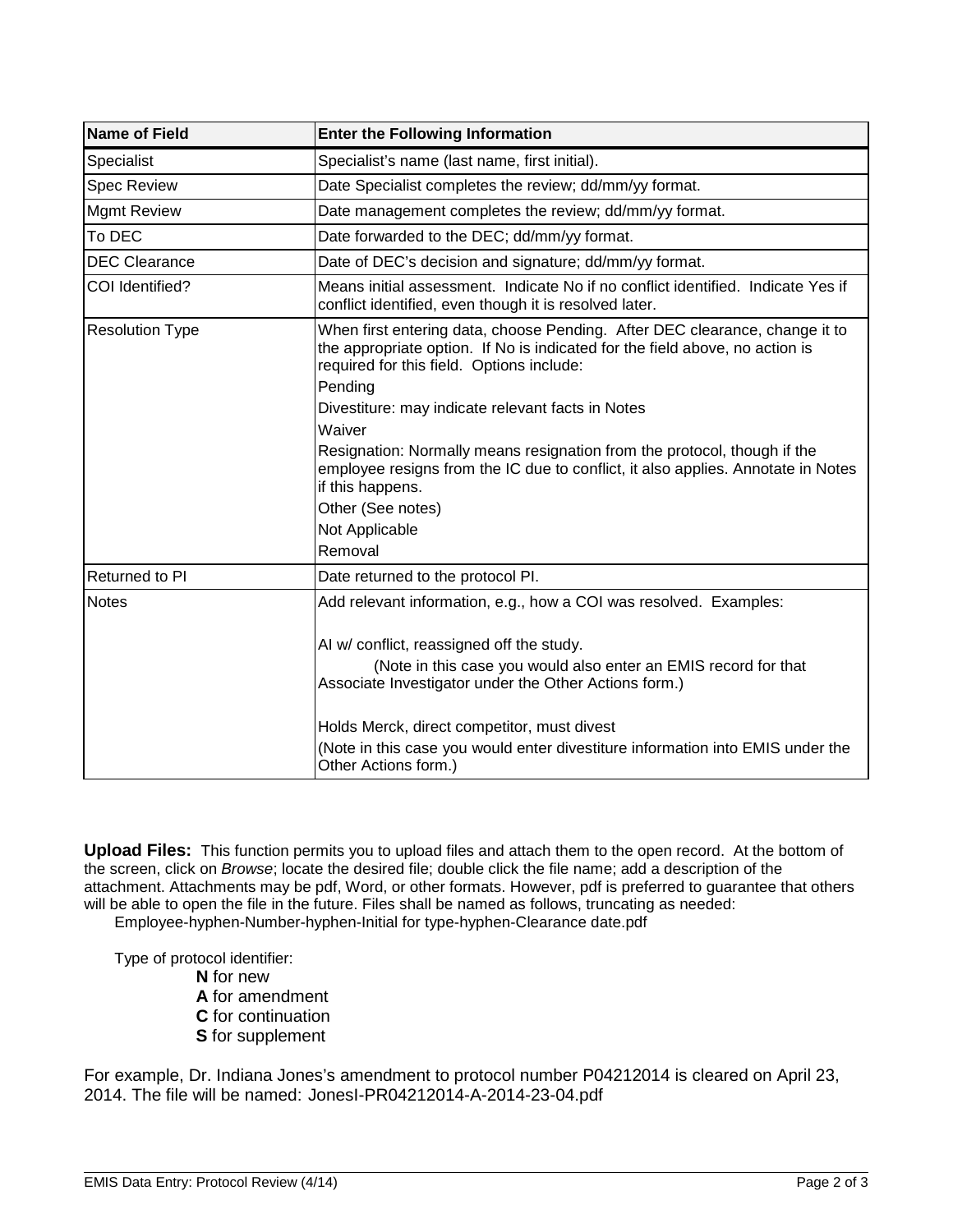| <b>Name of Field</b>   | <b>Enter the Following Information</b>                                                                                                                                                                              |
|------------------------|---------------------------------------------------------------------------------------------------------------------------------------------------------------------------------------------------------------------|
| Specialist             | Specialist's name (last name, first initial).                                                                                                                                                                       |
| <b>Spec Review</b>     | Date Specialist completes the review; dd/mm/yy format.                                                                                                                                                              |
| <b>Mgmt Review</b>     | Date management completes the review; dd/mm/yy format.                                                                                                                                                              |
| To DEC                 | Date forwarded to the DEC; dd/mm/yy format.                                                                                                                                                                         |
| <b>DEC Clearance</b>   | Date of DEC's decision and signature; dd/mm/yy format.                                                                                                                                                              |
| COI Identified?        | Means initial assessment. Indicate No if no conflict identified. Indicate Yes if<br>conflict identified, even though it is resolved later.                                                                          |
| <b>Resolution Type</b> | When first entering data, choose Pending. After DEC clearance, change it to<br>the appropriate option. If No is indicated for the field above, no action is<br>required for this field. Options include:<br>Pending |
|                        | Divestiture: may indicate relevant facts in Notes                                                                                                                                                                   |
|                        | Waiver                                                                                                                                                                                                              |
|                        | Resignation: Normally means resignation from the protocol, though if the<br>employee resigns from the IC due to conflict, it also applies. Annotate in Notes<br>if this happens.                                    |
|                        | Other (See notes)                                                                                                                                                                                                   |
|                        | Not Applicable                                                                                                                                                                                                      |
|                        | Removal                                                                                                                                                                                                             |
| Returned to PI         | Date returned to the protocol PI.                                                                                                                                                                                   |
| <b>Notes</b>           | Add relevant information, e.g., how a COI was resolved. Examples:                                                                                                                                                   |
|                        | AI w/ conflict, reassigned off the study.                                                                                                                                                                           |
|                        | (Note in this case you would also enter an EMIS record for that<br>Associate Investigator under the Other Actions form.)                                                                                            |
|                        | Holds Merck, direct competitor, must divest                                                                                                                                                                         |
|                        | (Note in this case you would enter divestiture information into EMIS under the<br>Other Actions form.)                                                                                                              |

**Upload Files:** This function permits you to upload files and attach them to the open record. At the bottom of the screen, click on *Browse*; locate the desired file; double click the file name; add a description of the attachment. Attachments may be pdf, Word, or other formats. However, pdf is preferred to guarantee that others will be able to open the file in the future. Files shall be named as follows, truncating as needed:

Employee-hyphen-Number-hyphen-Initial for type-hyphen-Clearance date.pdf

Type of protocol identifier:

**N** for new **A** for amendment **C** for continuation **S** for supplement

For example, Dr. Indiana Jones's amendment to protocol number P04212014 is cleared on April 23, 2014. The file will be named: JonesI-PR04212014-A-2014-23-04.pdf